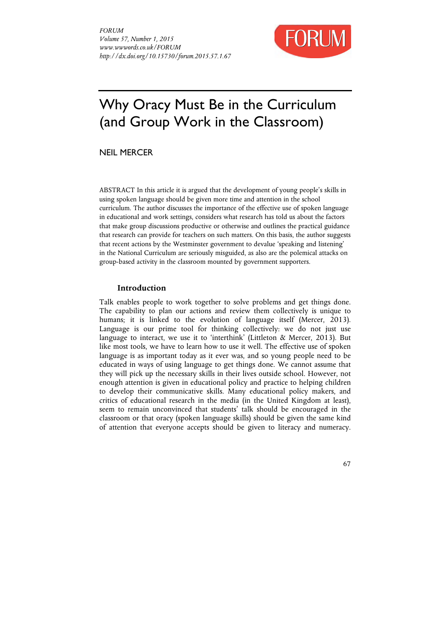

# Why Oracy Must Be in the Curriculum (and Group Work in the Classroom)

NEIL MERCER

ABSTRACT In this article it is argued that the development of young people's skills in using spoken language should be given more time and attention in the school curriculum. The author discusses the importance of the effective use of spoken language in educational and work settings, considers what research has told us about the factors that make group discussions productive or otherwise and outlines the practical guidance that research can provide for teachers on such matters. On this basis, the author suggests that recent actions by the Westminster government to devalue 'speaking and listening' in the National Curriculum are seriously misguided, as also are the polemical attacks on group-based activity in the classroom mounted by government supporters.

## **Introduction**

Talk enables people to work together to solve problems and get things done. The capability to plan our actions and review them collectively is unique to humans; it is linked to the evolution of language itself (Mercer, 2013). Language is our prime tool for thinking collectively: we do not just use language to interact, we use it to 'interthink' (Littleton & Mercer, 2013). But like most tools, we have to learn how to use it well. The effective use of spoken language is as important today as it ever was, and so young people need to be educated in ways of using language to get things done. We cannot assume that they will pick up the necessary skills in their lives outside school. However, not enough attention is given in educational policy and practice to helping children to develop their communicative skills. Many educational policy makers, and critics of educational research in the media (in the United Kingdom at least), seem to remain unconvinced that students' talk should be encouraged in the classroom or that oracy (spoken language skills) should be given the same kind of attention that everyone accepts should be given to literacy and numeracy.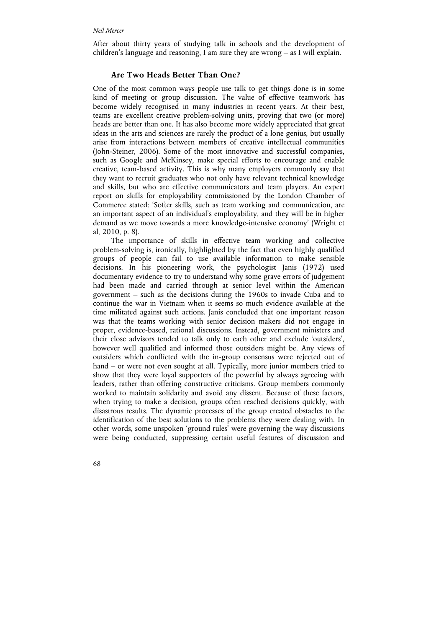After about thirty years of studying talk in schools and the development of children's language and reasoning, I am sure they are wrong – as I will explain.

# **Are Two Heads Better Than One?**

One of the most common ways people use talk to get things done is in some kind of meeting or group discussion. The value of effective teamwork has become widely recognised in many industries in recent years. At their best, teams are excellent creative problem-solving units, proving that two (or more) heads are better than one. It has also become more widely appreciated that great ideas in the arts and sciences are rarely the product of a lone genius, but usually arise from interactions between members of creative intellectual communities (John-Steiner, 2006). Some of the most innovative and successful companies, such as Google and McKinsey, make special efforts to encourage and enable creative, team-based activity. This is why many employers commonly say that they want to recruit graduates who not only have relevant technical knowledge and skills, but who are effective communicators and team players. An expert report on skills for employability commissioned by the London Chamber of Commerce stated: 'Softer skills, such as team working and communication, are an important aspect of an individual's employability, and they will be in higher demand as we move towards a more knowledge-intensive economy' (Wright et al, 2010, p. 8).

The importance of skills in effective team working and collective problem-solving is, ironically, highlighted by the fact that even highly qualified groups of people can fail to use available information to make sensible decisions. In his pioneering work, the psychologist Janis (1972) used documentary evidence to try to understand why some grave errors of judgement had been made and carried through at senior level within the American government – such as the decisions during the 1960s to invade Cuba and to continue the war in Vietnam when it seems so much evidence available at the time militated against such actions. Janis concluded that one important reason was that the teams working with senior decision makers did not engage in proper, evidence-based, rational discussions. Instead, government ministers and their close advisors tended to talk only to each other and exclude 'outsiders', however well qualified and informed those outsiders might be. Any views of outsiders which conflicted with the in-group consensus were rejected out of hand – or were not even sought at all. Typically, more junior members tried to show that they were loyal supporters of the powerful by always agreeing with leaders, rather than offering constructive criticisms. Group members commonly worked to maintain solidarity and avoid any dissent. Because of these factors, when trying to make a decision, groups often reached decisions quickly, with disastrous results. The dynamic processes of the group created obstacles to the identification of the best solutions to the problems they were dealing with. In other words, some unspoken 'ground rules' were governing the way discussions were being conducted, suppressing certain useful features of discussion and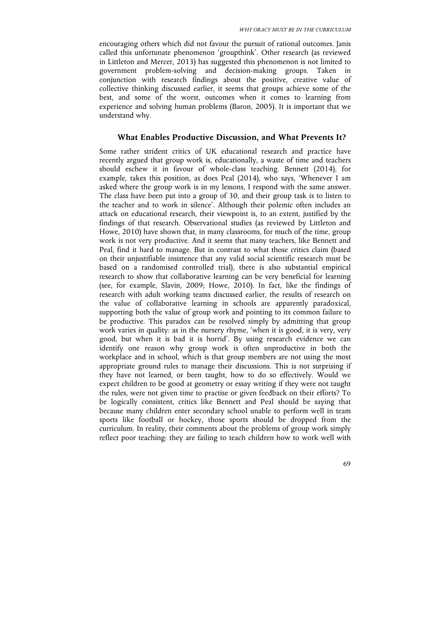encouraging others which did not favour the pursuit of rational outcomes. Janis called this unfortunate phenomenon 'groupthink'. Other research (as reviewed in Littleton and Mercer, 2013) has suggested this phenomenon is not limited to government problem-solving and decision-making groups. Taken in conjunction with research findings about the positive, creative value of collective thinking discussed earlier, it seems that groups achieve some of the best, and some of the worst, outcomes when it comes to learning from experience and solving human problems (Baron, 2005). It is important that we understand why.

### **What Enables Productive Discussion, and What Prevents It?**

Some rather strident critics of UK educational research and practice have recently argued that group work is, educationally, a waste of time and teachers should eschew it in favour of whole-class teaching. Bennett (2014), for example, takes this position, as does Peal (2014), who says, 'Whenever I am asked where the group work is in my lessons, I respond with the same answer. The class have been put into a group of 30, and their group task is to listen to the teacher and to work in silence'. Although their polemic often includes an attack on educational research, their viewpoint is, to an extent, justified by the findings of that research. Observational studies (as reviewed by Littleton and Howe, 2010) have shown that, in many classrooms, for much of the time, group work is not very productive. And it seems that many teachers, like Bennett and Peal, find it hard to manage. But in contrast to what those critics claim (based on their unjustifiable insistence that any valid social scientific research must be based on a randomised controlled trial), there is also substantial empirical research to show that collaborative learning can be very beneficial for learning (see, for example, Slavin, 2009; Howe, 2010). In fact, like the findings of research with adult working teams discussed earlier, the results of research on the value of collaborative learning in schools are apparently paradoxical, supporting both the value of group work and pointing to its common failure to be productive. This paradox can be resolved simply by admitting that group work varies in quality: as in the nursery rhyme, 'when it is good, it is very, very good, but when it is bad it is horrid'. By using research evidence we can identify one reason why group work is often unproductive in both the workplace and in school, which is that group members are not using the most appropriate ground rules to manage their discussions. This is not surprising if they have not learned, or been taught, how to do so effectively. Would we expect children to be good at geometry or essay writing if they were not taught the rules, were not given time to practise or given feedback on their efforts? To be logically consistent, critics like Bennett and Peal should be saying that because many children enter secondary school unable to perform well in team sports like football or hockey, those sports should be dropped from the curriculum. In reality, their comments about the problems of group work simply reflect poor teaching: they are failing to teach children how to work well with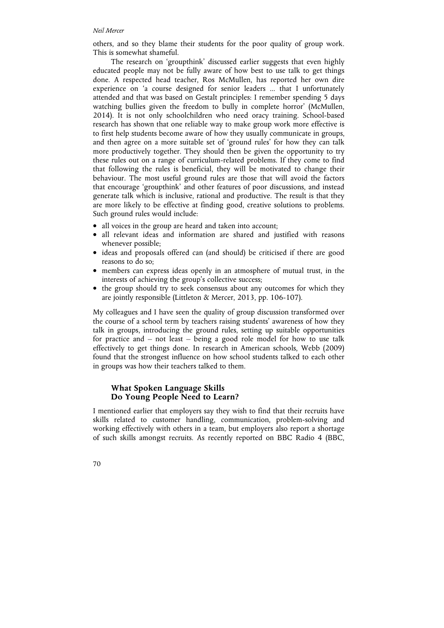#### *Neil Mercer*

others, and so they blame their students for the poor quality of group work. This is somewhat shameful.

The research on 'groupthink' discussed earlier suggests that even highly educated people may not be fully aware of how best to use talk to get things done. A respected head teacher, Ros McMullen, has reported her own dire experience on 'a course designed for senior leaders ... that I unfortunately attended and that was based on Gestalt principles: I remember spending 5 days watching bullies given the freedom to bully in complete horror' (McMullen, 2014). It is not only schoolchildren who need oracy training. School-based research has shown that one reliable way to make group work more effective is to first help students become aware of how they usually communicate in groups, and then agree on a more suitable set of 'ground rules' for how they can talk more productively together. They should then be given the opportunity to try these rules out on a range of curriculum-related problems. If they come to find that following the rules is beneficial, they will be motivated to change their behaviour. The most useful ground rules are those that will avoid the factors that encourage 'groupthink' and other features of poor discussions, and instead generate talk which is inclusive, rational and productive. The result is that they are more likely to be effective at finding good, creative solutions to problems. Such ground rules would include:

- all voices in the group are heard and taken into account;
- all relevant ideas and information are shared and justified with reasons whenever possible;
- ideas and proposals offered can (and should) be criticised if there are good reasons to do so;
- members can express ideas openly in an atmosphere of mutual trust, in the interests of achieving the group's collective success;
- the group should try to seek consensus about any outcomes for which they are jointly responsible (Littleton & Mercer, 2013, pp. 106-107).

My colleagues and I have seen the quality of group discussion transformed over the course of a school term by teachers raising students' awareness of how they talk in groups, introducing the ground rules, setting up suitable opportunities for practice and – not least – being a good role model for how to use talk effectively to get things done. In research in American schools, Webb (2009) found that the strongest influence on how school students talked to each other in groups was how their teachers talked to them.

# **What Spoken Language Skills Do Young People Need to Learn?**

I mentioned earlier that employers say they wish to find that their recruits have skills related to customer handling, communication, problem-solving and working effectively with others in a team, but employers also report a shortage of such skills amongst recruits. As recently reported on BBC Radio 4 (BBC,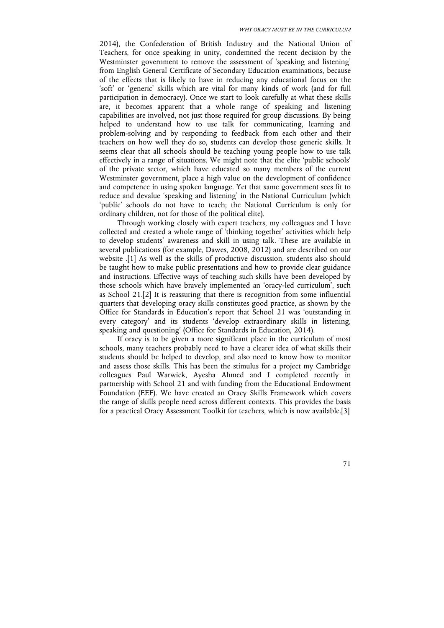2014), the Confederation of British Industry and the National Union of Teachers, for once speaking in unity, condemned the recent decision by the Westminster government to remove the assessment of 'speaking and listening' from English General Certificate of Secondary Education examinations, because of the effects that is likely to have in reducing any educational focus on the 'soft' or 'generic' skills which are vital for many kinds of work (and for full participation in democracy). Once we start to look carefully at what these skills are, it becomes apparent that a whole range of speaking and listening capabilities are involved, not just those required for group discussions. By being helped to understand how to use talk for communicating, learning and problem-solving and by responding to feedback from each other and their teachers on how well they do so, students can develop those generic skills. It seems clear that all schools should be teaching young people how to use talk effectively in a range of situations. We might note that the elite 'public schools' of the private sector, which have educated so many members of the current Westminster government, place a high value on the development of confidence and competence in using spoken language. Yet that same government sees fit to reduce and devalue 'speaking and listening' in the National Curriculum (which 'public' schools do not have to teach; the National Curriculum is only for ordinary children, not for those of the political elite).

Through working closely with expert teachers, my colleagues and I have collected and created a whole range of 'thinking together' activities which help to develop students' awareness and skill in using talk. These are available in several publications (for example, Dawes, 2008, 2012) and are described on our website .[1] As well as the skills of productive discussion, students also should be taught how to make public presentations and how to provide clear guidance and instructions. Effective ways of teaching such skills have been developed by those schools which have bravely implemented an 'oracy-led curriculum', such as School 21.[2] It is reassuring that there is recognition from some influential quarters that developing oracy skills constitutes good practice, as shown by the Office for Standards in Education's report that School 21 was 'outstanding in every category' and its students 'develop extraordinary skills in listening, speaking and questioning' (Office for Standards in Education, 2014).

If oracy is to be given a more significant place in the curriculum of most schools, many teachers probably need to have a clearer idea of what skills their students should be helped to develop, and also need to know how to monitor and assess those skills. This has been the stimulus for a project my Cambridge colleagues Paul Warwick, Ayesha Ahmed and I completed recently in partnership with School 21 and with funding from the Educational Endowment Foundation (EEF). We have created an Oracy Skills Framework which covers the range of skills people need across different contexts. This provides the basis for a practical Oracy Assessment Toolkit for teachers, which is now available.[3]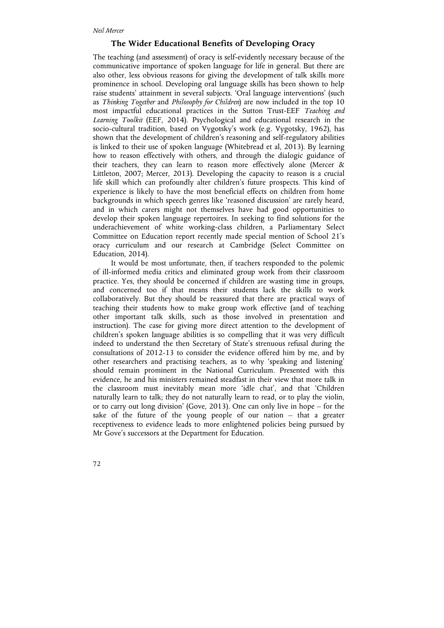# **The Wider Educational Benefits of Developing Oracy**

The teaching (and assessment) of oracy is self-evidently necessary because of the communicative importance of spoken language for life in general. But there are also other, less obvious reasons for giving the development of talk skills more prominence in school. Developing oral language skills has been shown to help raise students' attainment in several subjects. 'Oral language interventions' (such as *Thinking Together* and *Philosophy for Children*) are now included in the top 10 most impactful educational practices in the Sutton Trust-EEF *Teaching and Learning Toolkit* (EEF, 2014). Psychological and educational research in the socio-cultural tradition, based on Vygotsky's work (e.g. Vygotsky, 1962), has shown that the development of children's reasoning and self-regulatory abilities is linked to their use of spoken language (Whitebread et al, 2013). By learning how to reason effectively with others, and through the dialogic guidance of their teachers, they can learn to reason more effectively alone (Mercer & Littleton, 2007; Mercer, 2013). Developing the capacity to reason is a crucial life skill which can profoundly alter children's future prospects. This kind of experience is likely to have the most beneficial effects on children from home backgrounds in which speech genres like 'reasoned discussion' are rarely heard, and in which carers might not themselves have had good opportunities to develop their spoken language repertoires. In seeking to find solutions for the underachievement of white working-class children, a Parliamentary Select Committee on Education report recently made special mention of School 21's oracy curriculum and our research at Cambridge (Select Committee on Education, 2014).

It would be most unfortunate, then, if teachers responded to the polemic of ill-informed media critics and eliminated group work from their classroom practice. Yes, they should be concerned if children are wasting time in groups, and concerned too if that means their students lack the skills to work collaboratively. But they should be reassured that there are practical ways of teaching their students how to make group work effective (and of teaching other important talk skills, such as those involved in presentation and instruction). The case for giving more direct attention to the development of children's spoken language abilities is so compelling that it was very difficult indeed to understand the then Secretary of State's strenuous refusal during the consultations of 2012-13 to consider the evidence offered him by me, and by other researchers and practising teachers, as to why 'speaking and listening' should remain prominent in the National Curriculum. Presented with this evidence, he and his ministers remained steadfast in their view that more talk in the classroom must inevitably mean more 'idle chat', and that 'Children naturally learn to talk; they do not naturally learn to read, or to play the violin, or to carry out long division' (Gove, 2013). One can only live in hope – for the sake of the future of the young people of our nation – that a greater receptiveness to evidence leads to more enlightened policies being pursued by Mr Gove's successors at the Department for Education.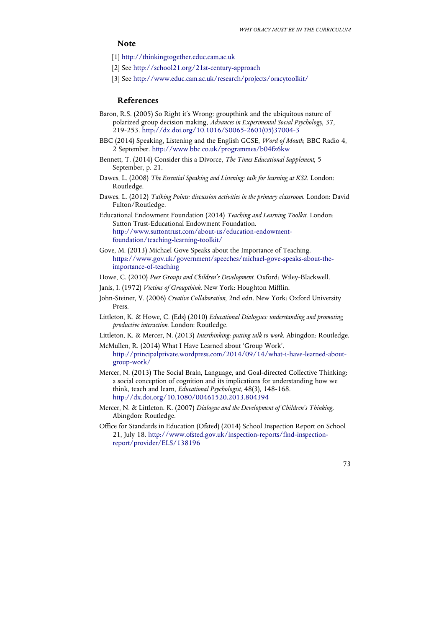# **Note**

- [1] http://thinkingtogether.educ.cam.ac.uk
- [2] See http://school21.org/21st-century-approach
- [3] See http://www.educ.cam.ac.uk/research/projects/oracytoolkit/

## **References**

- Baron, R.S. (2005) So Right it's Wrong: groupthink and the ubiquitous nature of polarized group decision making, *Advances in Experimental Social Psychology*, 37, 219-253. http://dx.doi.org/10.1016/S0065-2601(05)37004-3
- BBC (2014) Speaking, Listening and the English GCSE, *Word of Mouth*, BBC Radio 4, 2 September. http://www.bbc.co.uk/programmes/b04fz6kw
- Bennett, T. (2014) Consider this a Divorce, *The Times Educational Supplement*, 5 September, p. 21.
- Dawes, L. (2008) *The Essential Speaking and Listening: talk for learning at KS2*. London: Routledge.
- Dawes, L. (2012) *Talking Points: discussion activities in the primary classroom*. London: David Fulton/Routledge.
- Educational Endowment Foundation (2014) *Teaching and Learning Toolkit*. London: Sutton Trust-Educational Endowment Foundation. http://www.suttontrust.com/about-us/education-endowmentfoundation/teaching-learning-toolkit/
- Gove, M. (2013) Michael Gove Speaks about the Importance of Teaching. https://www.gov.uk/government/speeches/michael-gove-speaks-about-theimportance-of-teaching
- Howe, C. (2010) *Peer Groups and Children's Development.* Oxford: Wiley-Blackwell.
- Janis, I. (1972) *Victims of Groupthink*. New York: Houghton Mifflin.
- John-Steiner, V. (2006) *Creative Collaboration*, 2nd edn. New York: Oxford University Press.
- Littleton, K. & Howe, C. (Eds) (2010) *Educational Dialogues: understanding and promoting productive interaction*. London: Routledge.
- Littleton, K. & Mercer, N. (2013) *Interthinking: putting talk to work*. Abingdon: Routledge. McMullen, R. (2014) What I Have Learned about 'Group Work'.
- http://principalprivate.wordpress.com/2014/09/14/what-i-have-learned-aboutgroup-work/
- Mercer, N. (2013) The Social Brain, Language, and Goal-directed Collective Thinking: a social conception of cognition and its implications for understanding how we think, teach and learn, *Educational Psychologist*, 48(3), 148-168. http://dx.doi.org/10.1080/00461520.2013.804394
- Mercer, N. & Littleton. K. (2007) *Dialogue and the Development of Children's Thinking*. Abingdon: Routledge.
- Office for Standards in Education (Ofsted) (2014) School Inspection Report on School 21, July 18. http://www.ofsted.gov.uk/inspection-reports/find-inspectionreport/provider/ELS/138196